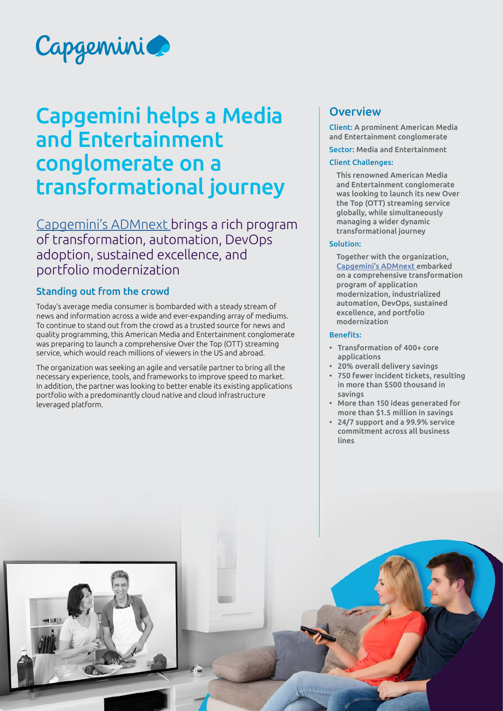

# Capgemini helps a Media and Entertainment conglomerate on a transformational journey

[Capgemini's ADMnext](https://www.capgemini.com/service/technology-operations/admnext/) brings a rich program of transformation, automation, DevOps adoption, sustained excellence, and portfolio modernization

# Standing out from the crowd

Today's average media consumer is bombarded with a steady stream of news and information across a wide and ever-expanding array of mediums. To continue to stand out from the crowd as a trusted source for news and quality programming, this American Media and Entertainment conglomerate was preparing to launch a comprehensive Over the Top (OTT) streaming service, which would reach millions of viewers in the US and abroad.

The organization was seeking an agile and versatile partner to bring all the necessary experience, tools, and frameworks to improve speed to market. In addition, the partner was looking to better enable its existing applications portfolio with a predominantly cloud native and cloud infrastructure leveraged platform.

# **Overview**

Client: A prominent American Media and Entertainment conglomerate

Sector: Media and Entertainment

# Client Challenges:

This renowned American Media and Entertainment conglomerate was looking to launch its new Over the Top (OTT) streaming service globally, while simultaneously managing a wider dynamic transformational journey

#### Solution:

Together with the organization, [Capgemini's ADMnext](https://www.capgemini.com/service/technology-operations/admnext/) embarked on a comprehensive transformation program of application modernization, industrialized automation, DevOps, sustained excellence, and portfolio modernization

#### Benefits:

- Transformation of 400+ core applications
- 20% overall delivery savings
- 750 fewer incident tickets, resulting in more than \$500 thousand in savings
- More than 150 ideas generated for more than \$1.5 million in savings
- 24/7 support and a 99.9% service commitment across all business lines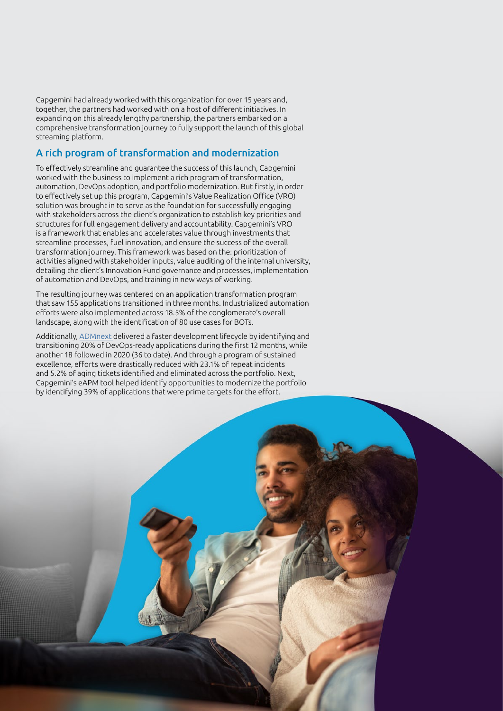Capgemini had already worked with this organization for over 15 years and, together, the partners had worked with on a host of different initiatives. In expanding on this already lengthy partnership, the partners embarked on a comprehensive transformation journey to fully support the launch of this global streaming platform.

# A rich program of transformation and modernization

To effectively streamline and guarantee the success of this launch, Capgemini worked with the business to implement a rich program of transformation, automation, DevOps adoption, and portfolio modernization. But firstly, in order to effectively set up this program, Capgemini's Value Realization Office (VRO) solution was brought in to serve as the foundation for successfully engaging with stakeholders across the client's organization to establish key priorities and structures for full engagement delivery and accountability. Capgemini's VRO is a framework that enables and accelerates value through investments that streamline processes, fuel innovation, and ensure the success of the overall transformation journey. This framework was based on the: prioritization of activities aligned with stakeholder inputs, value auditing of the internal university, detailing the client's Innovation Fund governance and processes, implementation of automation and DevOps, and training in new ways of working.

The resulting journey was centered on an application transformation program that saw 155 applications transitioned in three months. Industrialized automation efforts were also implemented across 18.5% of the conglomerate's overall landscape, along with the identification of 80 use cases for BOTs.

Additionally, [ADMnext](https://www.capgemini.com/service/technology-operations/admnext/) delivered a faster development lifecycle by identifying and transitioning 20% of DevOps-ready applications during the first 12 months, while another 18 followed in 2020 (36 to date). And through a program of sustained excellence, efforts were drastically reduced with 23.1% of repeat incidents and 5.2% of aging tickets identified and eliminated across the portfolio. Next, Capgemini's eAPM tool helped identify opportunities to modernize the portfolio by identifying 39% of applications that were prime targets for the effort.